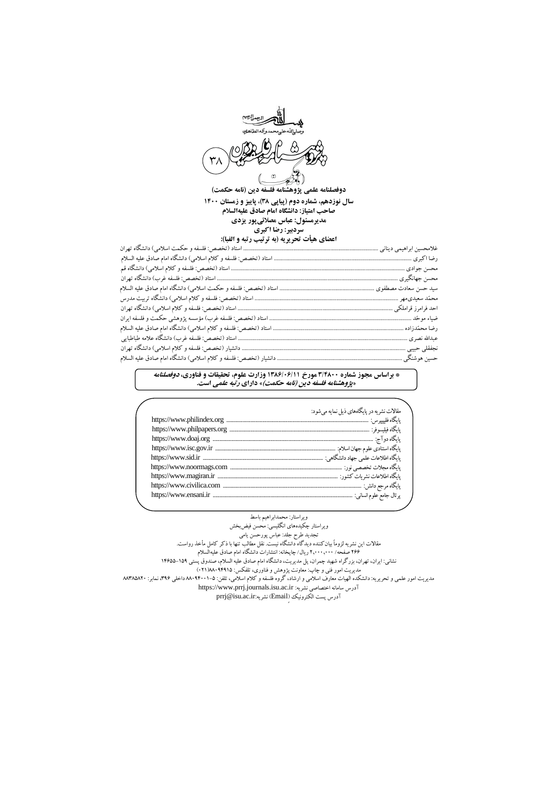

## **سال نوزدهم، شماره دوم )پياپي 83(، پاييز و زمستان 0011 صاحب امتياز: دانشگاه امام صادق عليهالسالم مديرمسئول: عباس مصالئيپور يزدي سردبير: رضا اكبري اعضاي هيأت تحريريه )به ترتيب رتبه و الفبا(:**

## **\* براساس مجوز شماره 8/0311 مورخ 0830/10/00 وزارت علوم، تحقيقات و فناوري، دوفصلنامه »پژوهشنامه فلسفه دين )نامه حكمت(« داراي رتبه علمي است.**

| مقالات نشريه در پايگاههاي ذيل نمايه مي شود: |  |
|---------------------------------------------|--|
|                                             |  |
|                                             |  |
|                                             |  |
|                                             |  |
|                                             |  |
|                                             |  |
|                                             |  |
|                                             |  |
|                                             |  |
|                                             |  |

## ویراستار: محمدابراهیم باسط

ویراستار چکیدههای انگلیسی: محسن فیضبخش

تجدید طرح جلد: عباس پورحسن یامی مقالات این نشریه لزوماً بیان کننده دید گاه دانشگاه نیست. نقل مطالب تنها با دکر کامل ماخد رواست.

622 صفحه/ 602220222 ریال/ چاپخانه: انتشارات دانشگاه امام صادق علیهالسالم

نشانی: ایران، تهران، بزرگراه شهید چمران، پل مدیریت، دانشگاه امام صادق علیه السالم، صندوق پستی 95255-951

مدیریت امور فنی و چاپ: معاونت پژوهش و فناوری، تلفکس: 11215195)269(

مدیریت امور علمی و تحریریه: دانشکده الهیات معارف اسالمی و ارشاد، گروه فلسفه و کالم اسالمی، تلفن: 11215229-5 داخلی ،612 نمابر: 11615162

[https://www.prrj.journals.isu.ac.ir](http://www.ifr.journals.isu.ac.ir/) :نشریه اختصاصی سامانه آدرس

prrj@isu.ac.ir:نشریه( Emailٍ( الکترونیك پست آدرس